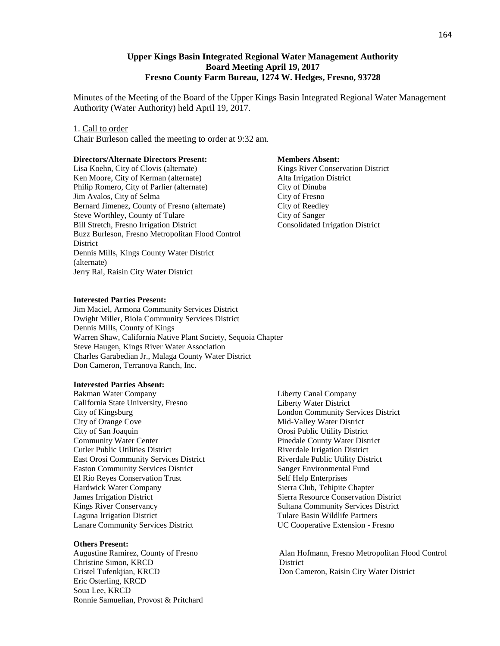# **Upper Kings Basin Integrated Regional Water Management Authority Board Meeting April 19, 2017 Fresno County Farm Bureau, 1274 W. Hedges, Fresno, 93728**

Minutes of the Meeting of the Board of the Upper Kings Basin Integrated Regional Water Management Authority (Water Authority) held April 19, 2017.

### 1. Call to order

Chair Burleson called the meeting to order at 9:32 am.

### **Directors/Alternate Directors Present:**

Lisa Koehn, City of Clovis (alternate) Ken Moore, City of Kerman (alternate) Philip Romero, City of Parlier (alternate) Jim Avalos, City of Selma Bernard Jimenez, County of Fresno (alternate) Steve Worthley, County of Tulare Bill Stretch, Fresno Irrigation District Buzz Burleson, Fresno Metropolitan Flood Control **District** Dennis Mills, Kings County Water District (alternate) Jerry Rai, Raisin City Water District

#### **Members Absent:**

Kings River Conservation District Alta Irrigation District City of Dinuba City of Fresno City of Reedley City of Sanger Consolidated Irrigation District

## **Interested Parties Present:**

Jim Maciel, Armona Community Services District Dwight Miller, Biola Community Services District Dennis Mills, County of Kings Warren Shaw, California Native Plant Society, Sequoia Chapter Steve Haugen, Kings River Water Association Charles Garabedian Jr., Malaga County Water District Don Cameron, Terranova Ranch, Inc.

#### **Interested Parties Absent:**

Bakman Water Company California State University, Fresno City of Kingsburg City of Orange Cove City of San Joaquin Community Water Center Cutler Public Utilities District East Orosi Community Services District Easton Community Services District El Rio Reyes Conservation Trust Hardwick Water Company James Irrigation District Kings River Conservancy Laguna Irrigation District Lanare Community Services District

#### **Others Present:**

Christine Simon, KRCD District Eric Osterling, KRCD Soua Lee, KRCD Ronnie Samuelian, Provost & Pritchard

Liberty Canal Company Liberty Water District London Community Services District Mid-Valley Water District Orosi Public Utility District Pinedale County Water District Riverdale Irrigation District Riverdale Public Utility District Sanger Environmental Fund Self Help Enterprises Sierra Club, Tehipite Chapter Sierra Resource Conservation District Sultana Community Services District Tulare Basin Wildlife Partners UC Cooperative Extension - Fresno

Augustine Ramirez, County of Fresno Alan Hofmann, Fresno Metropolitan Flood Control Cristel Tufenkjian, KRCD Don Cameron, Raisin City Water District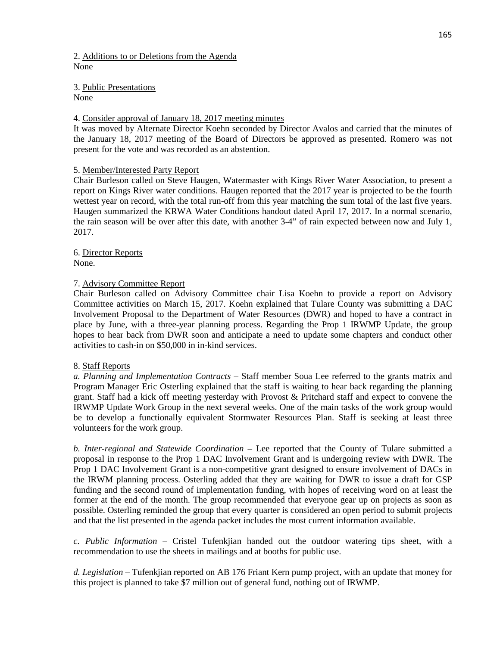2. Additions to or Deletions from the Agenda None

3. Public Presentations None

## 4. Consider approval of January 18, 2017 meeting minutes

It was moved by Alternate Director Koehn seconded by Director Avalos and carried that the minutes of the January 18, 2017 meeting of the Board of Directors be approved as presented. Romero was not present for the vote and was recorded as an abstention.

## 5. Member/Interested Party Report

Chair Burleson called on Steve Haugen, Watermaster with Kings River Water Association, to present a report on Kings River water conditions. Haugen reported that the 2017 year is projected to be the fourth wettest year on record, with the total run-off from this year matching the sum total of the last five years. Haugen summarized the KRWA Water Conditions handout dated April 17, 2017. In a normal scenario, the rain season will be over after this date, with another 3-4" of rain expected between now and July 1, 2017.

6. Director Reports None.

## 7. Advisory Committee Report

Chair Burleson called on Advisory Committee chair Lisa Koehn to provide a report on Advisory Committee activities on March 15, 2017. Koehn explained that Tulare County was submitting a DAC Involvement Proposal to the Department of Water Resources (DWR) and hoped to have a contract in place by June, with a three-year planning process. Regarding the Prop 1 IRWMP Update, the group hopes to hear back from DWR soon and anticipate a need to update some chapters and conduct other activities to cash-in on \$50,000 in in-kind services.

## 8. Staff Reports

*a. Planning and Implementation Contracts* – Staff member Soua Lee referred to the grants matrix and Program Manager Eric Osterling explained that the staff is waiting to hear back regarding the planning grant. Staff had a kick off meeting yesterday with Provost & Pritchard staff and expect to convene the IRWMP Update Work Group in the next several weeks. One of the main tasks of the work group would be to develop a functionally equivalent Stormwater Resources Plan. Staff is seeking at least three volunteers for the work group.

*b. Inter-regional and Statewide Coordination* – Lee reported that the County of Tulare submitted a proposal in response to the Prop 1 DAC Involvement Grant and is undergoing review with DWR. The Prop 1 DAC Involvement Grant is a non-competitive grant designed to ensure involvement of DACs in the IRWM planning process. Osterling added that they are waiting for DWR to issue a draft for GSP funding and the second round of implementation funding, with hopes of receiving word on at least the former at the end of the month. The group recommended that everyone gear up on projects as soon as possible. Osterling reminded the group that every quarter is considered an open period to submit projects and that the list presented in the agenda packet includes the most current information available.

*c. Public Information* – Cristel Tufenkjian handed out the outdoor watering tips sheet, with a recommendation to use the sheets in mailings and at booths for public use.

*d. Legislation* – Tufenkjian reported on AB 176 Friant Kern pump project, with an update that money for this project is planned to take \$7 million out of general fund, nothing out of IRWMP.